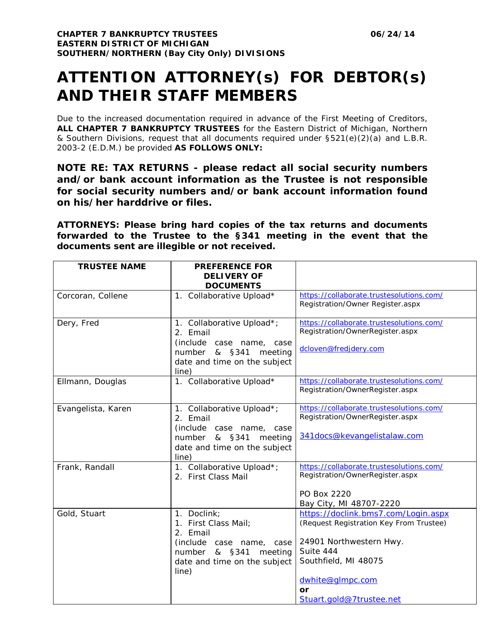## **ATTENTION ATTORNEY(s) FOR DEBTOR(s) AND THEIR STAFF MEMBERS**

Due to the increased documentation required in advance of the First Meeting of Creditors, **ALL CHAPTER 7 BANKRUPTCY TRUSTEES** for the Eastern District of Michigan, Northern & Southern Divisions, request that all documents required under §521(e)(2)(a) and L.B.R. 2003-2 (E.D.M.) be provided **AS FOLLOWS ONLY:**

**NOTE RE: TAX RETURNS - please redact all social security numbers and/or bank account information as the Trustee is not responsible for social security numbers and/or bank account information found on his/her harddrive or files.**

**ATTORNEYS: Please bring hard copies of the tax returns and documents forwarded to the Trustee to the §341 meeting in the event that the documents sent are illegible or not received.**

| <b>TRUSTEE NAME</b> | <b>PREFERENCE FOR</b>        |                                                                             |
|---------------------|------------------------------|-----------------------------------------------------------------------------|
|                     | <b>DELIVERY OF</b>           |                                                                             |
|                     | <b>DOCUMENTS</b>             |                                                                             |
| Corcoran, Collene   | 1. Collaborative Upload*     | https://collaborate.trustesolutions.com/                                    |
|                     |                              | Registration/Owner Register.aspx                                            |
|                     |                              |                                                                             |
| Dery, Fred          | 1. Collaborative Upload*;    | https://collaborate.trustesolutions.com/                                    |
|                     | 2. Email                     | Registration/OwnerRegister.aspx                                             |
|                     | (include case name, case     | dcloven@fredjdery.com                                                       |
|                     | number & §341<br>meeting     |                                                                             |
|                     | date and time on the subject |                                                                             |
|                     | line)                        |                                                                             |
| Ellmann, Douglas    | 1. Collaborative Upload*     | https://collaborate.trustesolutions.com/                                    |
|                     |                              | Registration/OwnerRegister.aspx                                             |
|                     |                              |                                                                             |
| Evangelista, Karen  | 1. Collaborative Upload*;    | https://collaborate.trustesolutions.com/<br>Registration/OwnerRegister.aspx |
|                     | 2. Email                     |                                                                             |
|                     | (include case name, case     | 341docs@kevangelistalaw.com                                                 |
|                     | number & §341 meeting        |                                                                             |
|                     | date and time on the subject |                                                                             |
|                     | line)                        |                                                                             |
| Frank, Randall      | 1. Collaborative Upload*;    | https://collaborate.trustesolutions.com/<br>Registration/OwnerRegister.aspx |
|                     | 2. First Class Mail          |                                                                             |
|                     |                              | PO Box 2220                                                                 |
|                     |                              | Bay City, MI 48707-2220                                                     |
| Gold, Stuart        | 1. Doclink;                  | https://doclink.bms7.com/Login.aspx                                         |
|                     | 1. First Class Mail;         | (Request Registration Key From Trustee)                                     |
|                     | 2. Email                     |                                                                             |
|                     | (include case name, case     | 24901 Northwestern Hwy.                                                     |
|                     | number & §341<br>meeting     | Suite 444                                                                   |
|                     | date and time on the subject | Southfield, MI 48075                                                        |
|                     | line)                        |                                                                             |
|                     |                              | dwhite@glmpc.com                                                            |
|                     |                              | or                                                                          |
|                     |                              | Stuart.gold@7trustee.net                                                    |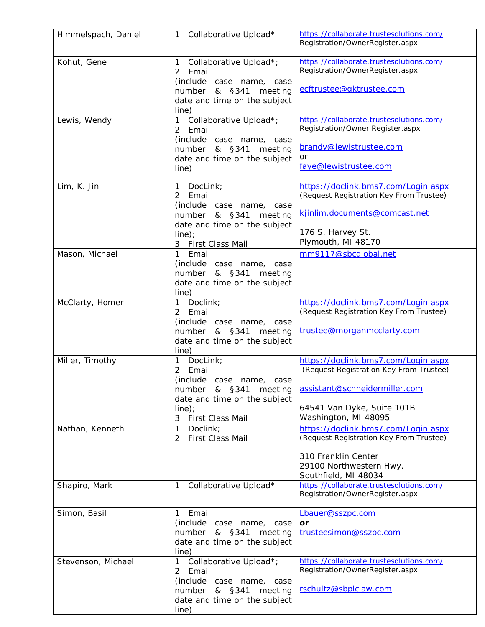| Himmelspach, Daniel | 1. Collaborative Upload*                                                                                                                               | https://collaborate.trustesolutions.com/<br>Registration/OwnerRegister.aspx                                                                                           |
|---------------------|--------------------------------------------------------------------------------------------------------------------------------------------------------|-----------------------------------------------------------------------------------------------------------------------------------------------------------------------|
| Kohut, Gene         | 1. Collaborative Upload*;<br>2. Email<br>(include case name, case<br>number & §341<br>meeting<br>date and time on the subject                          | https://collaborate.trustesolutions.com/<br>Registration/OwnerRegister.aspx<br>ecftrustee@gktrustee.com                                                               |
|                     | line)                                                                                                                                                  |                                                                                                                                                                       |
| Lewis, Wendy        | 1. Collaborative Upload*;<br>2. Email<br>(include case name, case<br>number & §341<br>meeting<br>date and time on the subject<br>line)                 | https://collaborate.trustesolutions.com/<br>Registration/Owner Register.aspx<br>brandy@lewistrustee.com<br>or<br>faye@lewistrustee.com                                |
| Lim, K. Jin         | 1. DocLink;<br>2. Email<br>(include case name, case<br>number<br>& §341<br>meeting<br>date and time on the subject<br>$line)$ ;<br>3. First Class Mail | https://doclink.bms7.com/Login.aspx<br>(Request Registration Key From Trustee)<br>kjinlim.documents@comcast.net<br>176 S. Harvey St.<br>Plymouth, MI 48170            |
| Mason, Michael      | 1. Email<br>(include case name, case<br>& §341<br>number<br>meeting<br>date and time on the subject<br>line)                                           | mm9117@sbcqlobal.net                                                                                                                                                  |
| McClarty, Homer     | 1. Doclink;<br>2. Email<br>(include case name, case<br>& §341<br>number<br>meeting<br>date and time on the subject<br>line)                            | https://doclink.bms7.com/Login.aspx<br>(Request Registration Key From Trustee)<br>trustee@morganmcclarty.com                                                          |
| Miller, Timothy     | 1. DocLink;<br>2. Email<br>(include case name,<br>case<br>number & §341<br>meeting<br>date and time on the subject<br>$line)$ ;<br>3. First Class Mail | https://doclink.bms7.com/Login.aspx<br>(Request Registration Key From Trustee)<br>assistant@schneidermiller.com<br>64541 Van Dyke, Suite 101B<br>Washington, MI 48095 |
| Nathan, Kenneth     | 1. Doclink;<br>2. First Class Mail                                                                                                                     | https://doclink.bms7.com/Login.aspx<br>(Request Registration Key From Trustee)<br>310 Franklin Center<br>29100 Northwestern Hwy.<br>Southfield, MI 48034              |
| Shapiro, Mark       | 1. Collaborative Upload*                                                                                                                               | https://collaborate.trustesolutions.com/<br>Registration/OwnerRegister.aspx                                                                                           |
| Simon, Basil        | 1. Email<br>(include<br>case name, case<br>number<br>& §341<br>meeting<br>date and time on the subject<br>line)                                        | Lbauer@sszpc.com<br>or<br>trusteesimon@sszpc.com                                                                                                                      |
| Stevenson, Michael  | 1. Collaborative Upload*;<br>2. Email<br>(include case name, case<br>& §341<br>meeting<br>number<br>date and time on the subject<br>line)              | https://collaborate.trustesolutions.com/<br>Registration/OwnerRegister.aspx<br>rschultz@sbplclaw.com                                                                  |